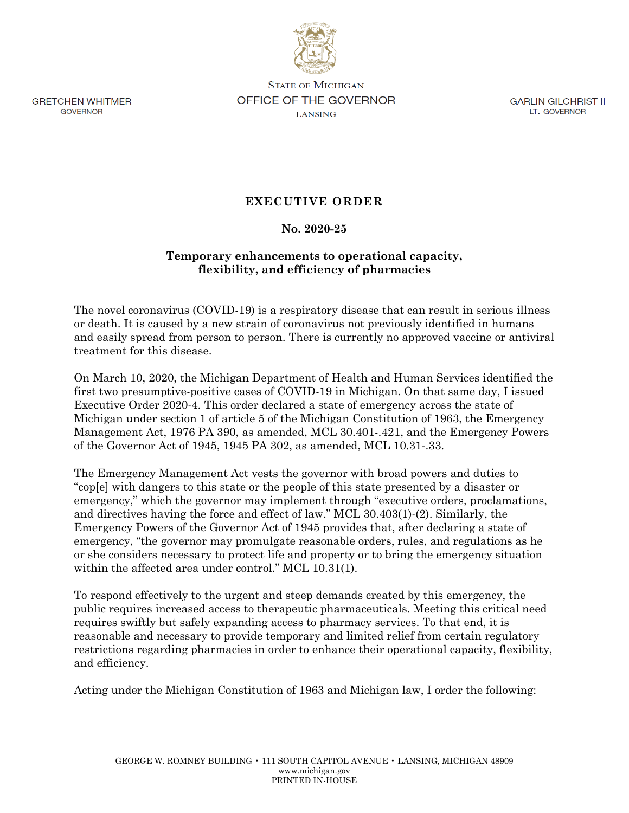

**GRETCHEN WHITMER GOVERNOR** 

**STATE OF MICHIGAN** OFFICE OF THE GOVERNOR **LANSING** 

**GARLIN GILCHRIST II** LT. GOVERNOR

## **EXECUTIVE ORDER**

## **No. 2020-25**

## **Temporary enhancements to operational capacity, flexibility, and efficiency of pharmacies**

The novel coronavirus (COVID-19) is a respiratory disease that can result in serious illness or death. It is caused by a new strain of coronavirus not previously identified in humans and easily spread from person to person. There is currently no approved vaccine or antiviral treatment for this disease.

On March 10, 2020, the Michigan Department of Health and Human Services identified the first two presumptive-positive cases of COVID-19 in Michigan. On that same day, I issued Executive Order 2020-4. This order declared a state of emergency across the state of Michigan under section 1 of article 5 of the Michigan Constitution of 1963, the Emergency Management Act, 1976 PA 390, as amended, MCL 30.401-.421, and the Emergency Powers of the Governor Act of 1945, 1945 PA 302, as amended, MCL 10.31-.33.

The Emergency Management Act vests the governor with broad powers and duties to "cop[e] with dangers to this state or the people of this state presented by a disaster or emergency," which the governor may implement through "executive orders, proclamations, and directives having the force and effect of law." MCL 30.403(1)-(2). Similarly, the Emergency Powers of the Governor Act of 1945 provides that, after declaring a state of emergency, "the governor may promulgate reasonable orders, rules, and regulations as he or she considers necessary to protect life and property or to bring the emergency situation within the affected area under control." MCL 10.31(1).

To respond effectively to the urgent and steep demands created by this emergency, the public requires increased access to therapeutic pharmaceuticals. Meeting this critical need requires swiftly but safely expanding access to pharmacy services. To that end, it is reasonable and necessary to provide temporary and limited relief from certain regulatory restrictions regarding pharmacies in order to enhance their operational capacity, flexibility, and efficiency.

Acting under the Michigan Constitution of 1963 and Michigan law, I order the following: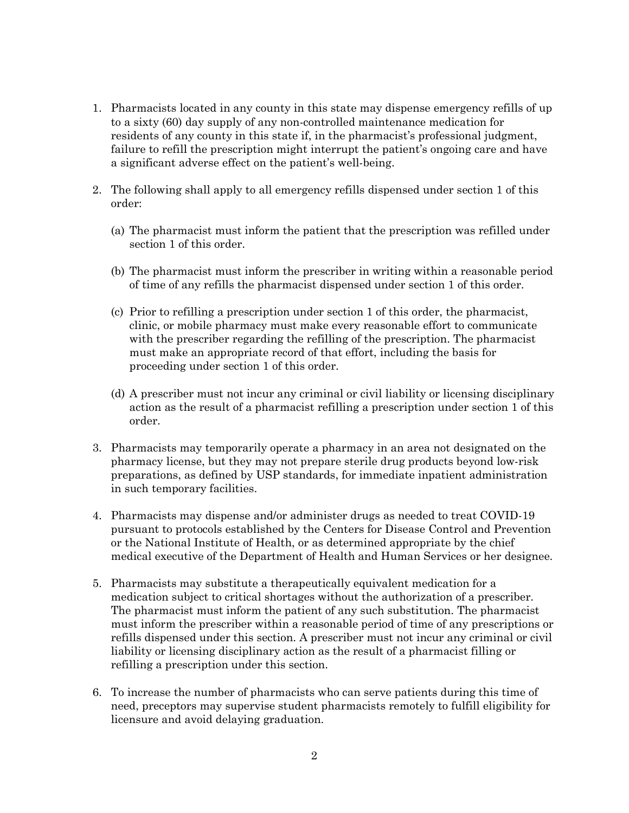- 1. Pharmacists located in any county in this state may dispense emergency refills of up to a sixty (60) day supply of any non-controlled maintenance medication for residents of any county in this state if, in the pharmacist's professional judgment, failure to refill the prescription might interrupt the patient's ongoing care and have a significant adverse effect on the patient's well-being.
- 2. The following shall apply to all emergency refills dispensed under section 1 of this order:
	- (a) The pharmacist must inform the patient that the prescription was refilled under section 1 of this order.
	- (b) The pharmacist must inform the prescriber in writing within a reasonable period of time of any refills the pharmacist dispensed under section 1 of this order.
	- (c) Prior to refilling a prescription under section 1 of this order, the pharmacist, clinic, or mobile pharmacy must make every reasonable effort to communicate with the prescriber regarding the refilling of the prescription. The pharmacist must make an appropriate record of that effort, including the basis for proceeding under section 1 of this order.
	- (d) A prescriber must not incur any criminal or civil liability or licensing disciplinary action as the result of a pharmacist refilling a prescription under section 1 of this order.
- 3. Pharmacists may temporarily operate a pharmacy in an area not designated on the pharmacy license, but they may not prepare sterile drug products beyond low-risk preparations, as defined by USP standards, for immediate inpatient administration in such temporary facilities.
- 4. Pharmacists may dispense and/or administer drugs as needed to treat COVID-19 pursuant to protocols established by the Centers for Disease Control and Prevention or the National Institute of Health, or as determined appropriate by the chief medical executive of the Department of Health and Human Services or her designee.
- 5. Pharmacists may substitute a therapeutically equivalent medication for a medication subject to critical shortages without the authorization of a prescriber. The pharmacist must inform the patient of any such substitution. The pharmacist must inform the prescriber within a reasonable period of time of any prescriptions or refills dispensed under this section. A prescriber must not incur any criminal or civil liability or licensing disciplinary action as the result of a pharmacist filling or refilling a prescription under this section.
- 6. To increase the number of pharmacists who can serve patients during this time of need, preceptors may supervise student pharmacists remotely to fulfill eligibility for licensure and avoid delaying graduation.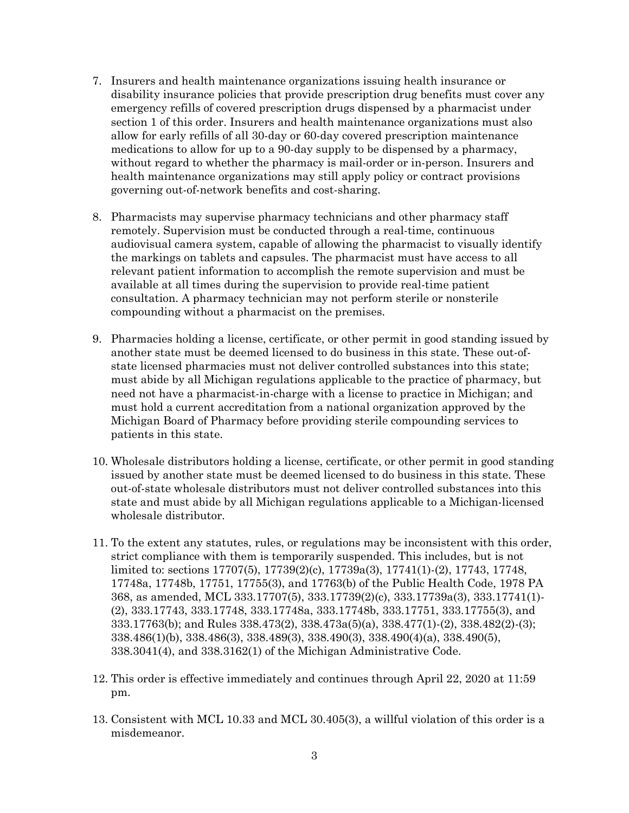- 7. Insurers and health maintenance organizations issuing health insurance or disability insurance policies that provide prescription drug benefits must cover any emergency refills of covered prescription drugs dispensed by a pharmacist under section 1 of this order. Insurers and health maintenance organizations must also allow for early refills of all 30-day or 60-day covered prescription maintenance medications to allow for up to a 90-day supply to be dispensed by a pharmacy, without regard to whether the pharmacy is mail-order or in-person. Insurers and health maintenance organizations may still apply policy or contract provisions governing out-of-network benefits and cost-sharing.
- 8. Pharmacists may supervise pharmacy technicians and other pharmacy staff remotely. Supervision must be conducted through a real-time, continuous audiovisual camera system, capable of allowing the pharmacist to visually identify the markings on tablets and capsules. The pharmacist must have access to all relevant patient information to accomplish the remote supervision and must be available at all times during the supervision to provide real-time patient consultation. A pharmacy technician may not perform sterile or nonsterile compounding without a pharmacist on the premises.
- 9. Pharmacies holding a license, certificate, or other permit in good standing issued by another state must be deemed licensed to do business in this state. These out-ofstate licensed pharmacies must not deliver controlled substances into this state; must abide by all Michigan regulations applicable to the practice of pharmacy, but need not have a pharmacist-in-charge with a license to practice in Michigan; and must hold a current accreditation from a national organization approved by the Michigan Board of Pharmacy before providing sterile compounding services to patients in this state.
- 10. Wholesale distributors holding a license, certificate, or other permit in good standing issued by another state must be deemed licensed to do business in this state. These out-of-state wholesale distributors must not deliver controlled substances into this state and must abide by all Michigan regulations applicable to a Michigan-licensed wholesale distributor.
- 11. To the extent any statutes, rules, or regulations may be inconsistent with this order, strict compliance with them is temporarily suspended. This includes, but is not limited to: sections 17707(5), 17739(2)(c), 17739a(3), 17741(1)-(2), 17743, 17748, 17748a, 17748b, 17751, 17755(3), and 17763(b) of the Public Health Code, 1978 PA 368, as amended, MCL 333.17707(5), 333.17739(2)(c), 333.17739a(3), 333.17741(1)- (2), 333.17743, 333.17748, 333.17748a, 333.17748b, 333.17751, 333.17755(3), and 333.17763(b); and Rules 338.473(2), 338.473a(5)(a), 338.477(1)-(2), 338.482(2)-(3); 338.486(1)(b), 338.486(3), 338.489(3), 338.490(3), 338.490(4)(a), 338.490(5), 338.3041(4), and 338.3162(1) of the Michigan Administrative Code.
- 12. This order is effective immediately and continues through April 22, 2020 at 11:59 pm.
- 13. Consistent with MCL 10.33 and MCL 30.405(3), a willful violation of this order is a misdemeanor.